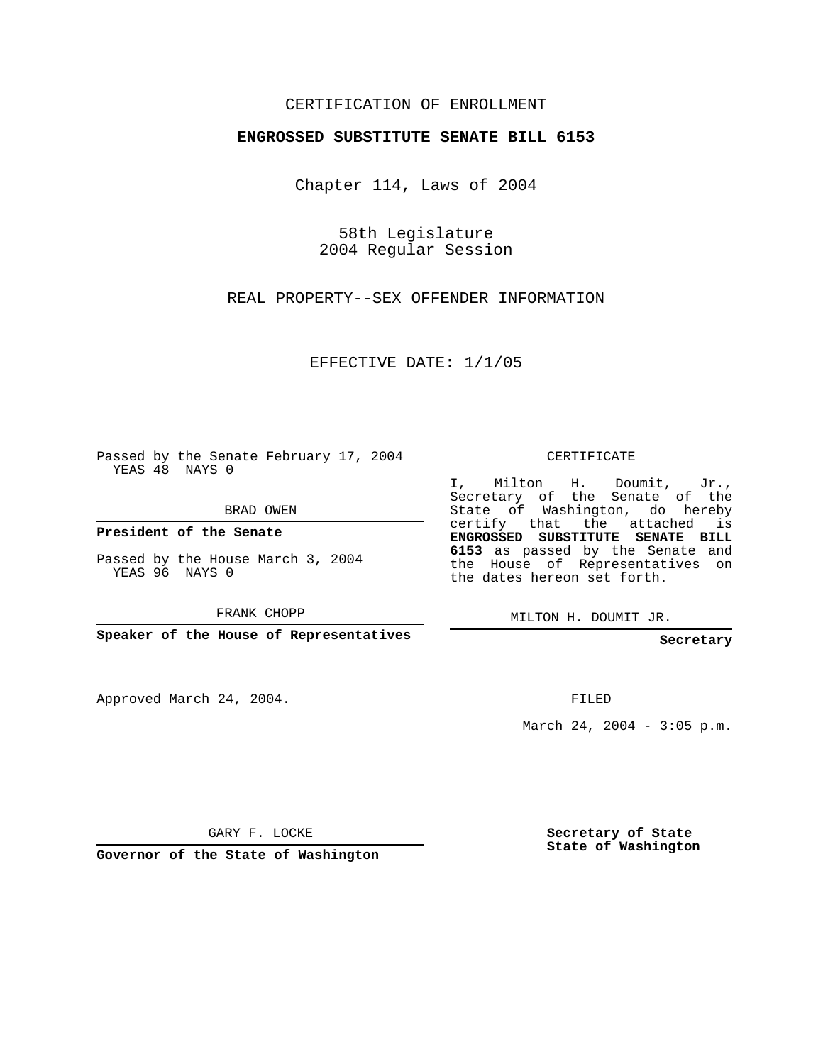## CERTIFICATION OF ENROLLMENT

#### **ENGROSSED SUBSTITUTE SENATE BILL 6153**

Chapter 114, Laws of 2004

58th Legislature 2004 Regular Session

REAL PROPERTY--SEX OFFENDER INFORMATION

EFFECTIVE DATE: 1/1/05

Passed by the Senate February 17, 2004 YEAS 48 NAYS 0

BRAD OWEN

**President of the Senate**

Passed by the House March 3, 2004 YEAS 96 NAYS 0

FRANK CHOPP

**Speaker of the House of Representatives**

Approved March 24, 2004.

CERTIFICATE

I, Milton H. Doumit, Jr., Secretary of the Senate of the State of Washington, do hereby certify that the attached is **ENGROSSED SUBSTITUTE SENATE BILL 6153** as passed by the Senate and the House of Representatives on the dates hereon set forth.

MILTON H. DOUMIT JR.

**Secretary**

FILED

March 24, 2004 - 3:05 p.m.

GARY F. LOCKE

**Governor of the State of Washington**

**Secretary of State State of Washington**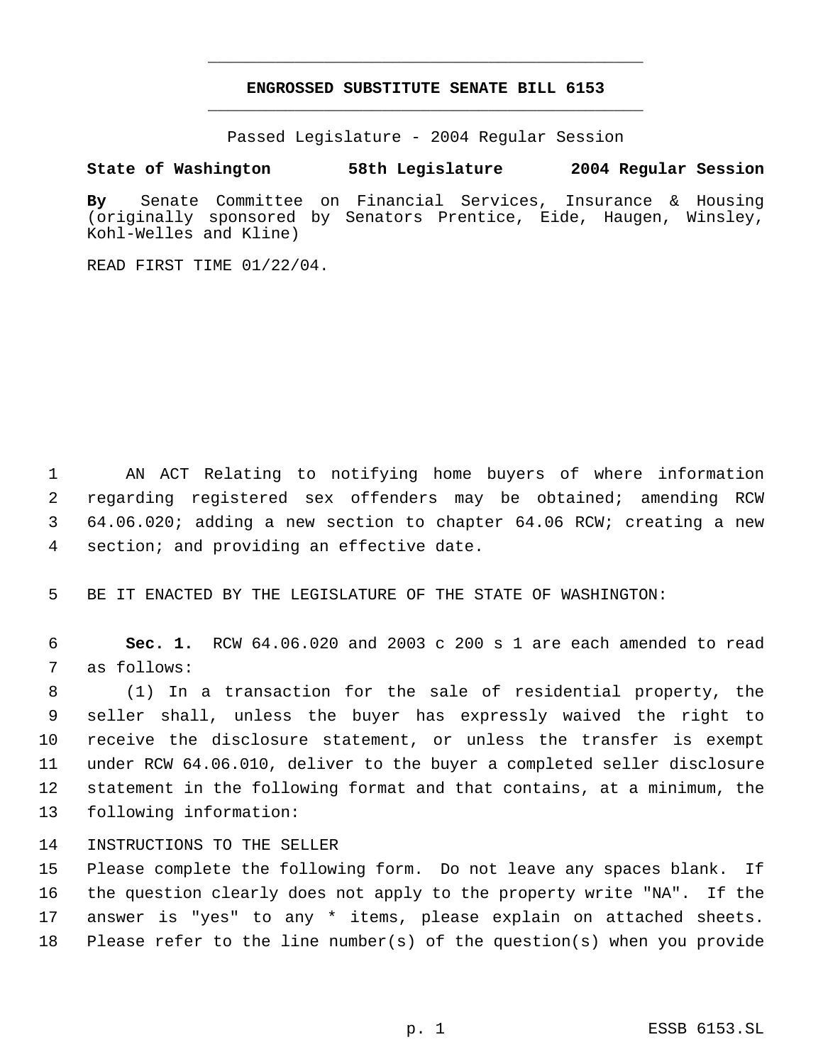# **ENGROSSED SUBSTITUTE SENATE BILL 6153** \_\_\_\_\_\_\_\_\_\_\_\_\_\_\_\_\_\_\_\_\_\_\_\_\_\_\_\_\_\_\_\_\_\_\_\_\_\_\_\_\_\_\_\_\_

\_\_\_\_\_\_\_\_\_\_\_\_\_\_\_\_\_\_\_\_\_\_\_\_\_\_\_\_\_\_\_\_\_\_\_\_\_\_\_\_\_\_\_\_\_

Passed Legislature - 2004 Regular Session

### **State of Washington 58th Legislature 2004 Regular Session**

**By** Senate Committee on Financial Services, Insurance & Housing (originally sponsored by Senators Prentice, Eide, Haugen, Winsley, Kohl-Welles and Kline)

READ FIRST TIME 01/22/04.

 AN ACT Relating to notifying home buyers of where information regarding registered sex offenders may be obtained; amending RCW 64.06.020; adding a new section to chapter 64.06 RCW; creating a new section; and providing an effective date.

BE IT ENACTED BY THE LEGISLATURE OF THE STATE OF WASHINGTON:

 **Sec. 1.** RCW 64.06.020 and 2003 c 200 s 1 are each amended to read as follows:

 (1) In a transaction for the sale of residential property, the seller shall, unless the buyer has expressly waived the right to receive the disclosure statement, or unless the transfer is exempt under RCW 64.06.010, deliver to the buyer a completed seller disclosure statement in the following format and that contains, at a minimum, the following information:

INSTRUCTIONS TO THE SELLER

 Please complete the following form. Do not leave any spaces blank. If the question clearly does not apply to the property write "NA". If the answer is "yes" to any \* items, please explain on attached sheets. Please refer to the line number(s) of the question(s) when you provide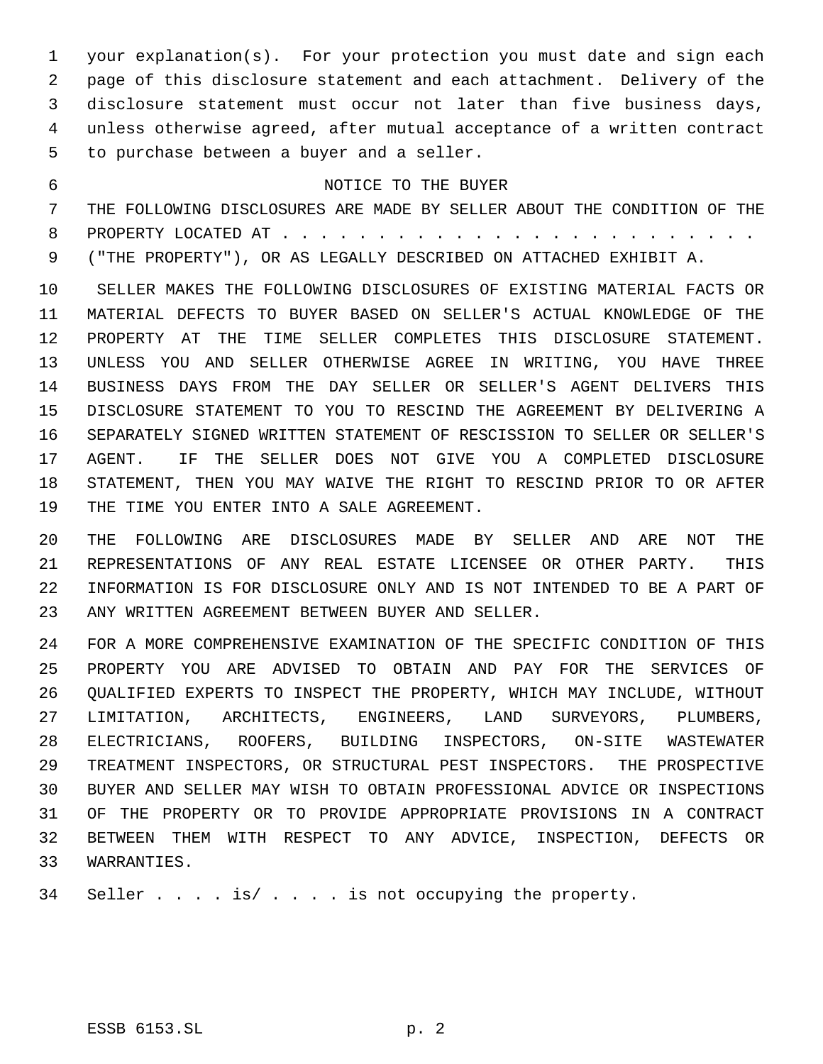your explanation(s). For your protection you must date and sign each page of this disclosure statement and each attachment. Delivery of the disclosure statement must occur not later than five business days, unless otherwise agreed, after mutual acceptance of a written contract to purchase between a buyer and a seller.

## NOTICE TO THE BUYER

 THE FOLLOWING DISCLOSURES ARE MADE BY SELLER ABOUT THE CONDITION OF THE PROPERTY LOCATED AT . . . . . . . . . . . . . . . . . . . . . . . . . ("THE PROPERTY"), OR AS LEGALLY DESCRIBED ON ATTACHED EXHIBIT A.

10 SELLER MAKES THE FOLLOWING DISCLOSURES OF EXISTING MATERIAL FACTS OR MATERIAL DEFECTS TO BUYER BASED ON SELLER'S ACTUAL KNOWLEDGE OF THE PROPERTY AT THE TIME SELLER COMPLETES THIS DISCLOSURE STATEMENT. UNLESS YOU AND SELLER OTHERWISE AGREE IN WRITING, YOU HAVE THREE BUSINESS DAYS FROM THE DAY SELLER OR SELLER'S AGENT DELIVERS THIS DISCLOSURE STATEMENT TO YOU TO RESCIND THE AGREEMENT BY DELIVERING A SEPARATELY SIGNED WRITTEN STATEMENT OF RESCISSION TO SELLER OR SELLER'S AGENT. IF THE SELLER DOES NOT GIVE YOU A COMPLETED DISCLOSURE STATEMENT, THEN YOU MAY WAIVE THE RIGHT TO RESCIND PRIOR TO OR AFTER THE TIME YOU ENTER INTO A SALE AGREEMENT.

 THE FOLLOWING ARE DISCLOSURES MADE BY SELLER AND ARE NOT THE REPRESENTATIONS OF ANY REAL ESTATE LICENSEE OR OTHER PARTY. THIS INFORMATION IS FOR DISCLOSURE ONLY AND IS NOT INTENDED TO BE A PART OF ANY WRITTEN AGREEMENT BETWEEN BUYER AND SELLER.

 FOR A MORE COMPREHENSIVE EXAMINATION OF THE SPECIFIC CONDITION OF THIS PROPERTY YOU ARE ADVISED TO OBTAIN AND PAY FOR THE SERVICES OF QUALIFIED EXPERTS TO INSPECT THE PROPERTY, WHICH MAY INCLUDE, WITHOUT LIMITATION, ARCHITECTS, ENGINEERS, LAND SURVEYORS, PLUMBERS, ELECTRICIANS, ROOFERS, BUILDING INSPECTORS, ON-SITE WASTEWATER TREATMENT INSPECTORS, OR STRUCTURAL PEST INSPECTORS. THE PROSPECTIVE BUYER AND SELLER MAY WISH TO OBTAIN PROFESSIONAL ADVICE OR INSPECTIONS OF THE PROPERTY OR TO PROVIDE APPROPRIATE PROVISIONS IN A CONTRACT BETWEEN THEM WITH RESPECT TO ANY ADVICE, INSPECTION, DEFECTS OR WARRANTIES.

Seller . . . . is/ . . . . is not occupying the property.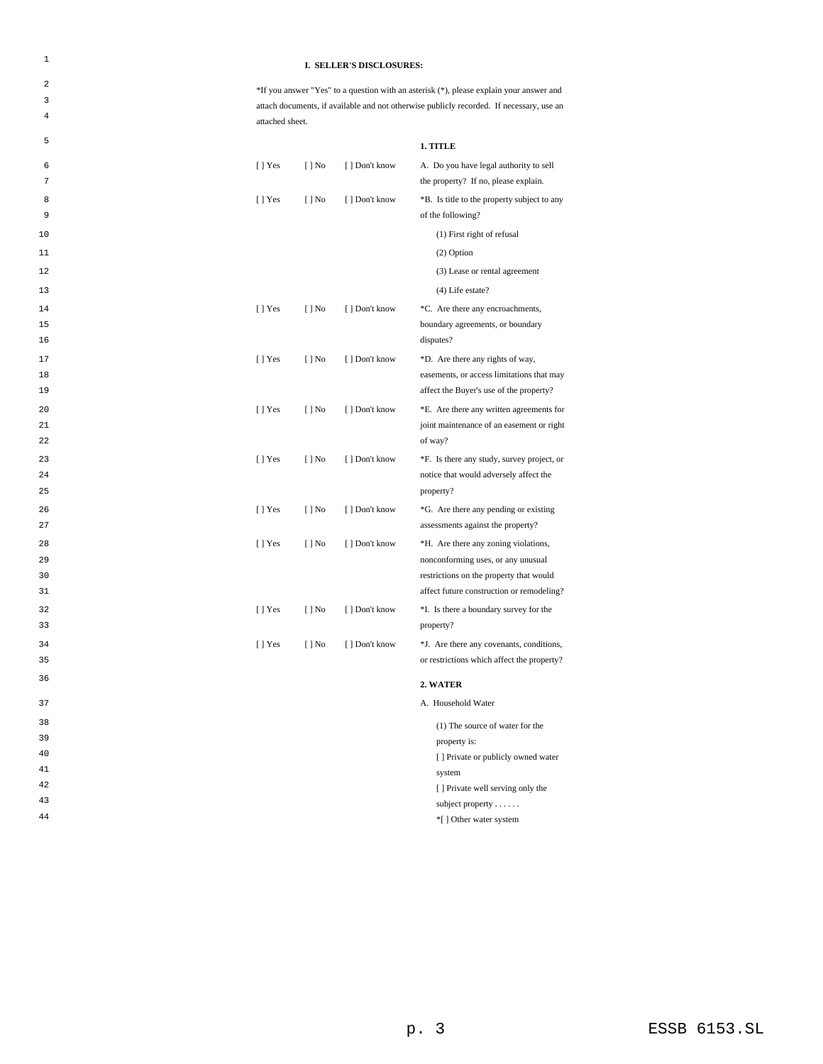#### **I. SELLER'S DISCLOSURES:**

1

 2 3 4

5

14 15 16

17 18 19

20 21 22

23 24 25

26 27

32 33

34 35

36

 $^{\ast}$ If you answer "Yes" to a question with an asterisk (\*), please explain your answer and attach documents, if available and not otherwise publicly recorded. If necessary, use an attached sheet.

| 5        |           |          |                | 1. TITLE                                                                             |
|----------|-----------|----------|----------------|--------------------------------------------------------------------------------------|
| 6        | [ ] Yes   | $[$   No | [ ] Don't know | A. Do you have legal authority to sell                                               |
| 7        |           |          |                | the property? If no, please explain.                                                 |
| 8<br>9   | [ ] Yes   | $[ ]$ No | [ ] Don't know | *B. Is title to the property subject to any<br>of the following?                     |
| 10       |           |          |                | (1) First right of refusal                                                           |
| 11       |           |          |                | $(2)$ Option                                                                         |
| 12       |           |          |                | (3) Lease or rental agreement                                                        |
| 13       |           |          |                | $(4)$ Life estate?                                                                   |
| 14       | [ ] Yes   | $[ ]$ No | [ ] Don't know | *C. Are there any encroachments,                                                     |
| 15       |           |          |                | boundary agreements, or boundary                                                     |
| 16       |           |          |                | disputes?                                                                            |
| 17       | [ ] Yes   | $[$   No | [ ] Don't know | *D. Are there any rights of way,                                                     |
| 18       |           |          |                | easements, or access limitations that may                                            |
| 19       |           |          |                | affect the Buyer's use of the property?                                              |
| 20       | [ ] Yes   | $[ ]$ No | [ ] Don't know | *E. Are there any written agreements for                                             |
| 21       |           |          |                | joint maintenance of an easement or right                                            |
| 22       |           |          |                | of way?                                                                              |
| 23       | $[ ]$ Yes | $[ ]$ No | [ ] Don't know | *F. Is there any study, survey project, or                                           |
| 24       |           |          |                | notice that would adversely affect the                                               |
| 25       |           |          |                | property?                                                                            |
| 26       | [] Yes    | $[$   No | [ ] Don't know | *G. Are there any pending or existing                                                |
| 27       |           |          |                | assessments against the property?                                                    |
| 28       | [ ] Yes   | $[ ]$ No | [ ] Don't know | *H. Are there any zoning violations,                                                 |
| 29<br>30 |           |          |                | nonconforming uses, or any unusual                                                   |
| 31       |           |          |                | restrictions on the property that would<br>affect future construction or remodeling? |
| 32       | $[ ]$ Yes | $[ ]$ No | [ ] Don't know | *I. Is there a boundary survey for the                                               |
| 33       |           |          |                | property?                                                                            |
| 34       | $[$   Yes | $[$   No | [ ] Don't know | *J. Are there any covenants, conditions,                                             |
| 35       |           |          |                | or restrictions which affect the property?                                           |
| 36       |           |          |                | 2. WATER                                                                             |
| 37       |           |          |                | A. Household Water                                                                   |
| 38       |           |          |                | (1) The source of water for the                                                      |
| 39       |           |          |                | property is:                                                                         |
| 40       |           |          |                | [] Private or publicly owned water                                                   |
| 41       |           |          |                | system                                                                               |
| 42       |           |          |                | [] Private well serving only the                                                     |
| 43       |           |          |                | subject property                                                                     |
| 44       |           |          |                | *[ ] Other water system                                                              |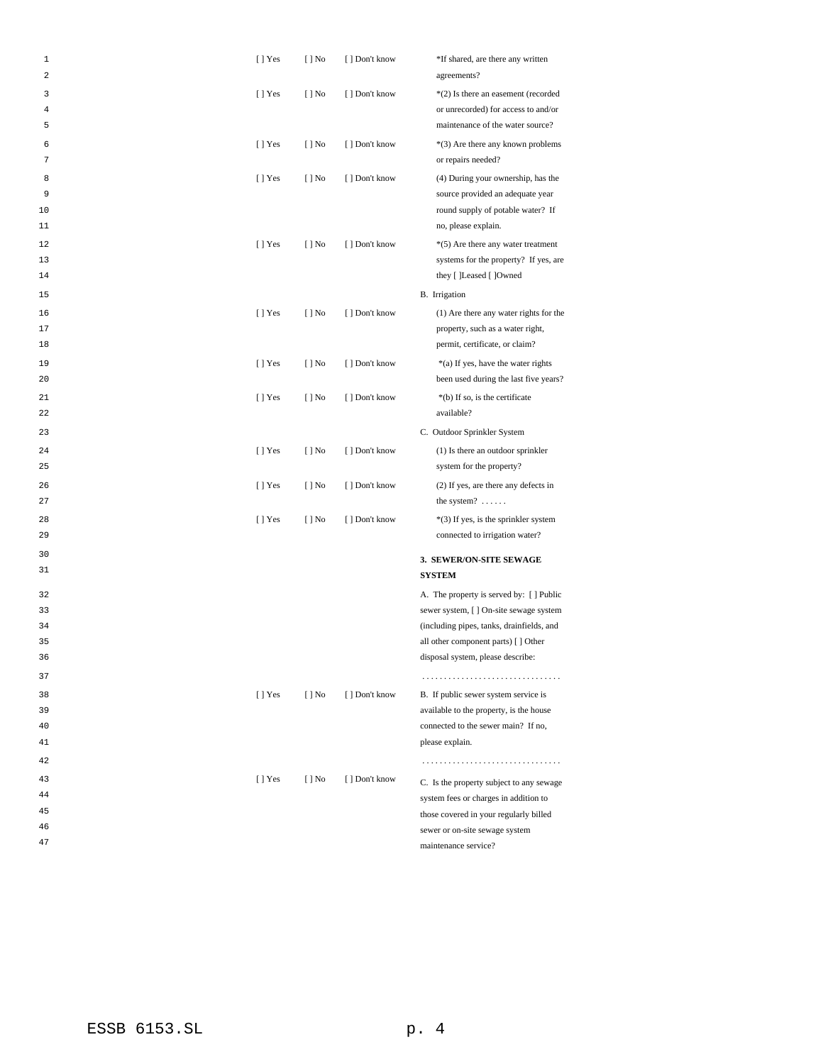| 1<br>2             | [] Yes    | $[ ]$ No | [ ] Don't know | *If shared, are there any written<br>agreements?                                                                                   |
|--------------------|-----------|----------|----------------|------------------------------------------------------------------------------------------------------------------------------------|
| 3<br>4<br>5        | [ ] Yes   | $[ ]$ No | [ ] Don't know | *(2) Is there an easement (recorded<br>or unrecorded) for access to and/or<br>maintenance of the water source?                     |
| 6<br>7             | [ ] Yes   | $[ ]$ No | [ ] Don't know | *(3) Are there any known problems<br>or repairs needed?                                                                            |
| 8<br>9<br>10<br>11 | [ ] Yes   | $[ ]$ No | [ ] Don't know | (4) During your ownership, has the<br>source provided an adequate year<br>round supply of potable water? If<br>no, please explain. |
| 12<br>13<br>14     | [] Yes    | $[ ]$ No | [ ] Don't know | *(5) Are there any water treatment<br>systems for the property? If yes, are<br>they [ ]Leased [ ]Owned                             |
| 15                 |           |          |                | B. Irrigation                                                                                                                      |
| 16<br>17<br>18     | [] Yes    | $[ ]$ No | [ ] Don't know | (1) Are there any water rights for the<br>property, such as a water right,<br>permit, certificate, or claim?                       |
| 19<br>20           | [] Yes    | $[ ]$ No | [ ] Don't know | *(a) If yes, have the water rights<br>been used during the last five years?                                                        |
| 21<br>22           | [ ] Yes   | $[ ]$ No | [ ] Don't know | *(b) If so, is the certificate<br>available?                                                                                       |
| 23                 |           |          |                | C. Outdoor Sprinkler System                                                                                                        |
| 24<br>25           | [ ] Yes   | $[ ]$ No | [ ] Don't know | (1) Is there an outdoor sprinkler<br>system for the property?                                                                      |
| 26<br>27           | [] Yes    | $[ ]$ No | [ ] Don't know | (2) If yes, are there any defects in<br>the system?                                                                                |
| 28<br>29           | [] Yes    | $[ ]$ No | [ ] Don't know | *(3) If yes, is the sprinkler system<br>connected to irrigation water?                                                             |
| 30<br>31           |           |          |                | 3. SEWER/ON-SITE SEWAGE<br><b>SYSTEM</b>                                                                                           |
| 32                 |           |          |                | A. The property is served by: [] Public                                                                                            |
| 33                 |           |          |                | sewer system, [ ] On-site sewage system                                                                                            |
| 34                 |           |          |                | (including pipes, tanks, drainfields, and                                                                                          |
| 35                 |           |          |                | all other component parts) [ ] Other                                                                                               |
| 36                 |           |          |                | disposal system, please describe:                                                                                                  |
| 37                 |           |          |                |                                                                                                                                    |
| 38                 | [ ] Yes   | $[ ]$ No | [ ] Don't know | B. If public sewer system service is                                                                                               |
| 39                 |           |          |                | available to the property, is the house                                                                                            |
| 40<br>41           |           |          |                | connected to the sewer main? If no,<br>please explain.                                                                             |
| 42                 |           |          |                |                                                                                                                                    |
| 43                 | $[$ ] Yes | $[ ]$ No | [ ] Don't know | C. Is the property subject to any sewage                                                                                           |
| 44                 |           |          |                | system fees or charges in addition to                                                                                              |
| 45                 |           |          |                | those covered in your regularly billed                                                                                             |
| 46                 |           |          |                | sewer or on-site sewage system                                                                                                     |
| 47                 |           |          |                | maintenance service?                                                                                                               |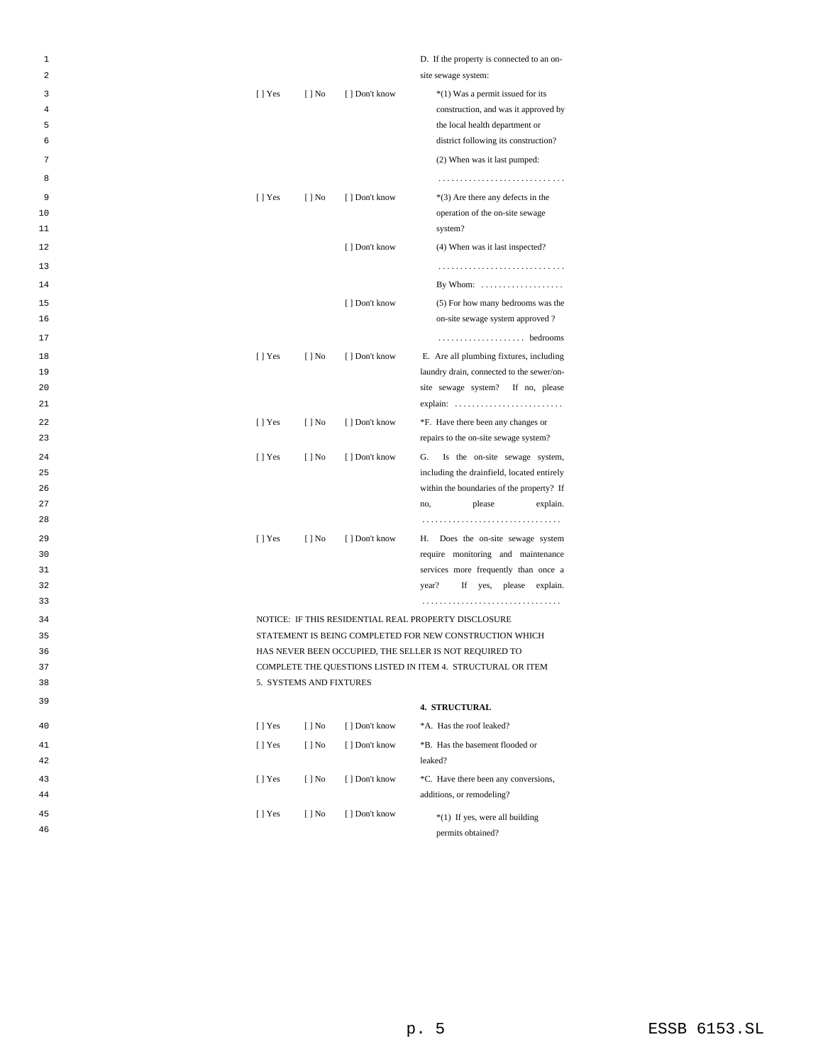| 1        |                |                         |                | D. If the property is connected to an on-                         |
|----------|----------------|-------------------------|----------------|-------------------------------------------------------------------|
| 2        |                |                         |                | site sewage system:                                               |
| 3        | $[$ Tes        | $[ ]$ No                | [ ] Don't know | *(1) Was a permit issued for its                                  |
| 4        |                |                         |                | construction, and was it approved by                              |
| 5        |                |                         |                | the local health department or                                    |
| 6        |                |                         |                | district following its construction?                              |
| 7        |                |                         |                | (2) When was it last pumped:                                      |
| 8        |                |                         |                |                                                                   |
| 9        | $[$ Tes        | $[ ]$ No                | [ ] Don't know | *(3) Are there any defects in the                                 |
| 10       |                |                         |                | operation of the on-site sewage                                   |
| 11       |                |                         |                | system?                                                           |
| 12       |                |                         | [ ] Don't know | (4) When was it last inspected?                                   |
| 13       |                |                         |                |                                                                   |
| 14       |                |                         |                | By Whom: $\dots\dots\dots\dots\dots\dots\dots$                    |
| 15       |                |                         | [ ] Don't know | (5) For how many bedrooms was the                                 |
| 16       |                |                         |                | on-site sewage system approved?                                   |
| 17       |                |                         |                |                                                                   |
| 18       | $[$ Tes        | $[ ]$ No                | [ ] Don't know | E. Are all plumbing fixtures, including                           |
| 19       |                |                         |                | laundry drain, connected to the sewer/on-                         |
| 20       |                |                         |                | site sewage system? If no, please                                 |
| 21       |                |                         |                | explain:                                                          |
| 22       | $[$ Tes        | $[ ]$ No                | [ ] Don't know | *F. Have there been any changes or                                |
| 23       |                |                         |                | repairs to the on-site sewage system?                             |
| 24       | $[$ Tes        | $[ ]$ No                | [ ] Don't know | G.<br>Is the on-site sewage system,                               |
| 25       |                |                         |                | including the drainfield, located entirely                        |
| 26       |                |                         |                | within the boundaries of the property? If                         |
| 27       |                |                         |                | please<br>explain.<br>no,                                         |
| 28       |                |                         |                |                                                                   |
| 29       | $[$   Yes      | $[$   No                | [ ] Don't know | Does the on-site sewage system<br>Н.                              |
| 30       |                |                         |                | require monitoring and maintenance                                |
| 31       |                |                         |                | services more frequently than once a                              |
| 32       |                |                         |                | yes, please explain.<br>year?<br>If                               |
| 33       |                |                         |                |                                                                   |
| 34       |                |                         |                | NOTICE: IF THIS RESIDENTIAL REAL PROPERTY DISCLOSURE              |
| 35       |                |                         |                | STATEMENT IS BEING COMPLETED FOR NEW CONSTRUCTION WHICH           |
| 36       |                |                         |                | HAS NEVER BEEN OCCUPIED, THE SELLER IS NOT REQUIRED TO            |
| 37       |                |                         |                | COMPLETE THE QUESTIONS LISTED IN ITEM 4. STRUCTURAL OR ITEM       |
| 38       |                | 5. SYSTEMS AND FIXTURES |                |                                                                   |
| 39       |                |                         |                |                                                                   |
|          |                |                         |                | 4. STRUCTURAL                                                     |
| 40       | $[$   Yes      | $[ ]$ No                | [ ] Don't know | *A. Has the roof leaked?                                          |
| 41<br>42 | [ ] Yes        | $[ ]$ No                | [ ] Don't know | *B. Has the basement flooded or<br>leaked?                        |
|          |                |                         |                |                                                                   |
| 43<br>44 | $\lceil$   Yes | $[ ]$ No                | [ ] Don't know | *C. Have there been any conversions,<br>additions, or remodeling? |
| 45       | [ ] Yes        | $[ ]$ No                | [ ] Don't know |                                                                   |
| 46       |                |                         |                | *(1) If yes, were all building<br>permits obtained?               |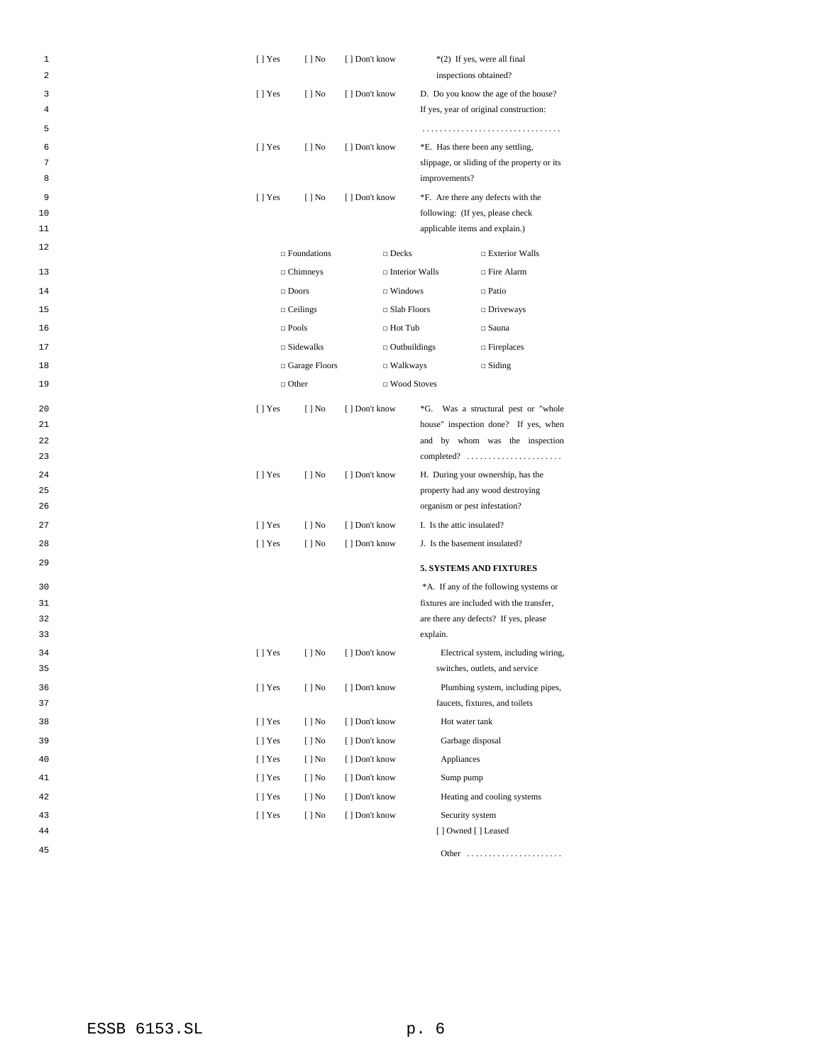| 1<br>2   | [ ] Yes | $[ ]$ No             | [ ] Don't know           |                                                                        | *(2) If yes, were all final<br>inspections obtained?                            |
|----------|---------|----------------------|--------------------------|------------------------------------------------------------------------|---------------------------------------------------------------------------------|
| 3<br>4   | [ ] Yes | $[ ]$ No             | [ ] Don't know           |                                                                        | D. Do you know the age of the house?<br>If yes, year of original construction:  |
| 5        |         |                      |                          |                                                                        |                                                                                 |
| 6<br>7   | [] Yes  | $[ ]$ No             | [ ] Don't know           |                                                                        | *E. Has there been any settling,<br>slippage, or sliding of the property or its |
| 8        |         |                      |                          | improvements?                                                          |                                                                                 |
| 9<br>10  | [] Yes  | $[ ]$ No             | [ ] Don't know           | *F. Are there any defects with the<br>following: (If yes, please check |                                                                                 |
| 11       |         |                      |                          | applicable items and explain.)                                         |                                                                                 |
| 12       |         |                      |                          |                                                                        |                                                                                 |
|          |         | $\Box$ Foundations   | $\Box$ Decks             |                                                                        | $\Box$ Exterior Walls                                                           |
| 13       |         | $\Box$ Chimneys      | $\square$ Interior Walls |                                                                        | □ Fire Alarm                                                                    |
| 14       |         | $\Box$ Doors         | $\Box$ Windows           |                                                                        | $\Box$ Patio                                                                    |
| 15       |         | $\Box$ Ceilings      | $\Box$ Slab Floors       |                                                                        | $\Box$ Driveways                                                                |
| 16       |         | $\Box$ Pools         | $\Box$ Hot Tub           |                                                                        | $\Box$ Sauna                                                                    |
| 17       |         | $\Box$ Sidewalks     | $\Box$ Outbuildings      |                                                                        | $\Box$ Fireplaces                                                               |
| 18       |         | $\Box$ Garage Floors | $\Box$ Walkways          |                                                                        | $\Box$ Siding                                                                   |
| 19       |         | $\Box$ Other         | $\Box$ Wood Stoves       |                                                                        |                                                                                 |
| 20       | [] Yes  | $[ ]$ No             | [ ] Don't know           |                                                                        | *G. Was a structural pest or "whole                                             |
| 21       |         |                      |                          |                                                                        | house" inspection done? If yes, when                                            |
| 22       |         |                      |                          |                                                                        | and by whom was the inspection                                                  |
| 23       |         |                      |                          |                                                                        |                                                                                 |
| 24       | [] Yes  | $[ ]$ No             | [ ] Don't know           |                                                                        | H. During your ownership, has the                                               |
| 25       |         |                      |                          |                                                                        | property had any wood destroying                                                |
| 26       |         |                      |                          | organism or pest infestation?                                          |                                                                                 |
| 27       | [] Yes  | $[ ]$ No             | [ ] Don't know           | I. Is the attic insulated?                                             |                                                                                 |
| 28       | [ ] Yes | $[ ]$ No             | [ ] Don't know           | J. Is the basement insulated?                                          |                                                                                 |
| 29       |         |                      |                          |                                                                        | <b>5. SYSTEMS AND FIXTURES</b>                                                  |
| 30       |         |                      |                          |                                                                        | *A. If any of the following systems or                                          |
| 31       |         |                      |                          |                                                                        | fixtures are included with the transfer,                                        |
| 32<br>33 |         |                      |                          | explain.                                                               | are there any defects? If yes, please                                           |
| 34       | [ ] Yes | [ ] No               | [ ] Don't know           |                                                                        | Electrical system, including wiring,                                            |
| 35       |         |                      |                          |                                                                        | switches, outlets, and service                                                  |
| 36       | [] Yes  | $[ ]$ No             | [ ] Don't know           |                                                                        | Plumbing system, including pipes,                                               |
| 37       |         |                      |                          |                                                                        | faucets, fixtures, and toilets                                                  |
| 38       | [ ] Yes | $[ ]$ No             | [ ] Don't know           | Hot water tank                                                         |                                                                                 |
| 39       | [ ] Yes | $[ ]$ No             | [ ] Don't know           | Garbage disposal                                                       |                                                                                 |
| 40       | [ ] Yes | $[ ]$ No             | [ ] Don't know           | Appliances                                                             |                                                                                 |
| 41       | [ ] Yes | $[ ]$ No             | [ ] Don't know           | Sump pump                                                              |                                                                                 |
| 42       | [ ] Yes | $[ ]$ No             | [ ] Don't know           |                                                                        | Heating and cooling systems                                                     |
| 43       | [ ] Yes | $[$   No             | [ ] Don't know           | Security system                                                        |                                                                                 |
| 44       |         |                      |                          | [] Owned [] Leased                                                     |                                                                                 |
| 45       |         |                      |                          |                                                                        |                                                                                 |
|          |         |                      |                          |                                                                        |                                                                                 |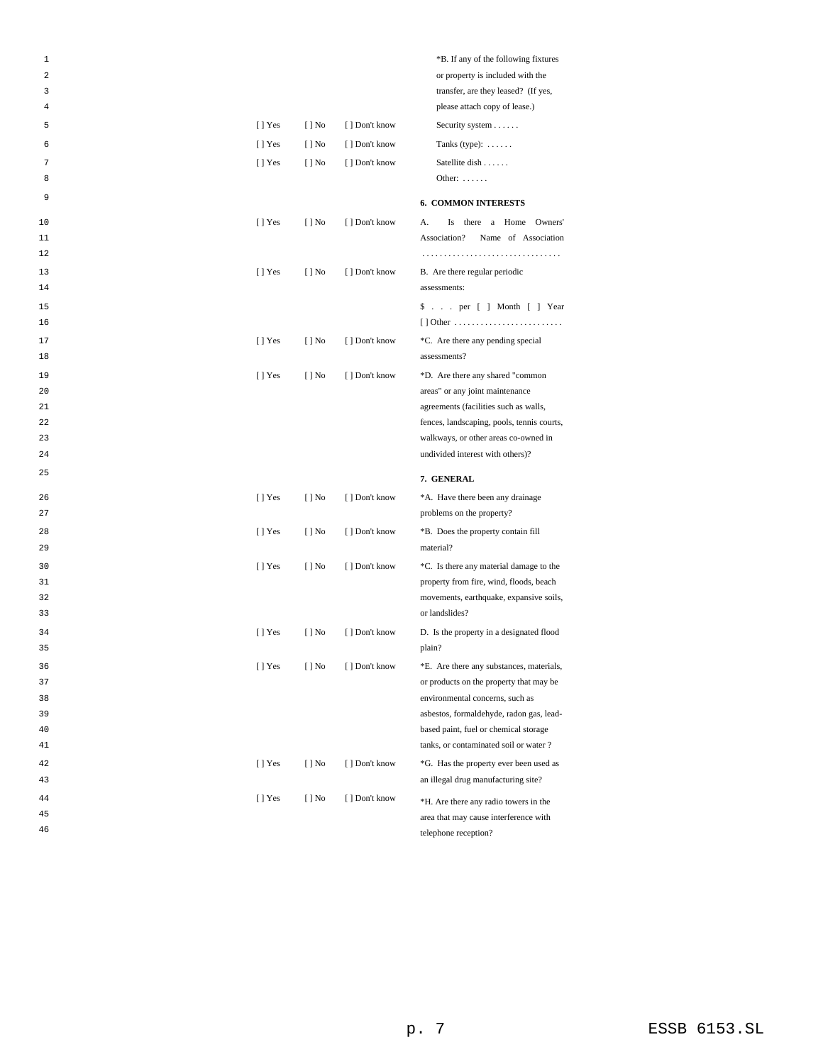| 1<br>2<br>3 |           |          |                | *B. If any of the following fixtures<br>or property is included with the<br>transfer, are they leased? (If yes, |
|-------------|-----------|----------|----------------|-----------------------------------------------------------------------------------------------------------------|
| 4           |           |          |                | please attach copy of lease.)                                                                                   |
| 5           | $[$ ] Yes | $[ ]$ No | [ ] Don't know | Security system                                                                                                 |
| 6           | $[$   Yes | $[ ]$ No | [ ] Don't know | Tanks (type): $\dots$                                                                                           |
| 7           | [ ] Yes   | $[ ]$ No | [ ] Don't know | Satellite dish                                                                                                  |
| 8           |           |          |                | Other: $\dots$                                                                                                  |
| 9           |           |          |                | <b>6. COMMON INTERESTS</b>                                                                                      |
| 10          | $[$   Yes | $[ ]$ No | [ ] Don't know | Is there a Home Owners'<br>А.                                                                                   |
| 11          |           |          |                | Association?<br>Name of Association                                                                             |
| 12          |           |          |                |                                                                                                                 |
| 13          | $[$ ] Yes | $[ ]$ No | [ ] Don't know | B. Are there regular periodic                                                                                   |
| 14          |           |          |                | assessments:                                                                                                    |
| 15          |           |          |                | \$ per [ ] Month [ ] Year                                                                                       |
| 16          |           |          |                | $\lceil$ Other                                                                                                  |
| 17          | [ ] Yes   | $[ ]$ No | [ ] Don't know | *C. Are there any pending special                                                                               |
| 18          |           |          |                | assessments?                                                                                                    |
| 19          | $[$ ] Yes | $[ ]$ No | [ ] Don't know | *D. Are there any shared "common                                                                                |
| 20          |           |          |                | areas" or any joint maintenance                                                                                 |
| 21          |           |          |                | agreements (facilities such as walls,                                                                           |
| 22          |           |          |                | fences, landscaping, pools, tennis courts,                                                                      |
| 23<br>24    |           |          |                | walkways, or other areas co-owned in<br>undivided interest with others)?                                        |
|             |           |          |                |                                                                                                                 |
| 25          |           |          |                | 7. GENERAL                                                                                                      |
| 26          | [ ] Yes   | $[ ]$ No | [ ] Don't know | *A. Have there been any drainage                                                                                |
| 27          |           |          |                | problems on the property?                                                                                       |
| 28          | [ ] Yes   | $[ ]$ No | [ ] Don't know | *B. Does the property contain fill                                                                              |
| 29          |           |          |                | material?                                                                                                       |
| 30          | [ ] Yes   | $[ ]$ No | [ ] Don't know | *C. Is there any material damage to the                                                                         |
| 31          |           |          |                | property from fire, wind, floods, beach                                                                         |
| 32          |           |          |                | movements, earthquake, expansive soils,                                                                         |
| 33          |           |          |                | or landslides?                                                                                                  |
| 34          | $[ ]$ Yes | $[ ]$ No | [ ] Don't know | D. Is the property in a designated flood                                                                        |
| 35          |           |          |                | plain?                                                                                                          |
| 36          | $[$ ] Yes | $[ ]$ No | [ ] Don't know | *E. Are there any substances, materials,                                                                        |
| 37          |           |          |                | or products on the property that may be<br>environmental concerns, such as                                      |
| 38<br>39    |           |          |                | asbestos, formaldehyde, radon gas, lead-                                                                        |
| 40          |           |          |                | based paint, fuel or chemical storage                                                                           |
| 41          |           |          |                | tanks, or contaminated soil or water?                                                                           |
| 42          | $[$   Yes | $[ ]$ No | [ ] Don't know | *G. Has the property ever been used as                                                                          |
| 43          |           |          |                | an illegal drug manufacturing site?                                                                             |
| 44          | $[$ ] Yes | $[ ]$ No | [ ] Don't know |                                                                                                                 |
| 45          |           |          |                | *H. Are there any radio towers in the<br>area that may cause interference with                                  |
| 46          |           |          |                | telephone reception?                                                                                            |
|             |           |          |                |                                                                                                                 |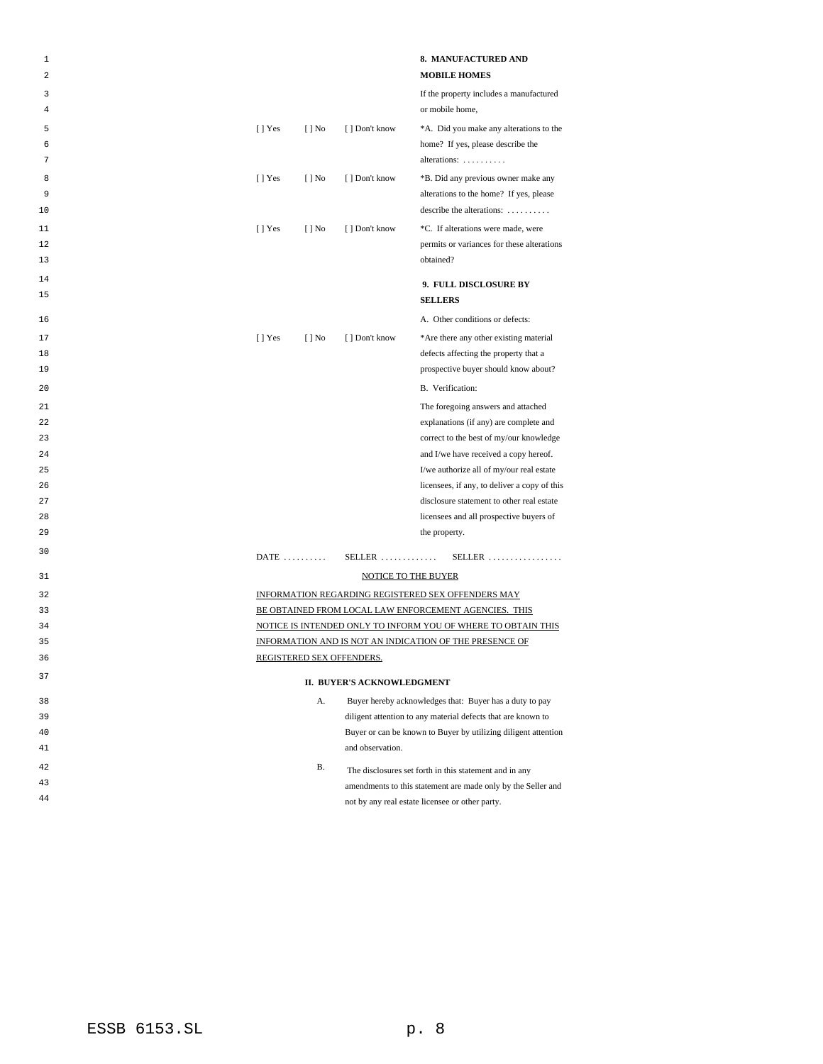| 1<br>2         |                                                    |                          |                            | 8. MANUFACTURED AND<br><b>MOBILE HOMES</b>                                                                  |  |  |
|----------------|----------------------------------------------------|--------------------------|----------------------------|-------------------------------------------------------------------------------------------------------------|--|--|
| 3<br>4         |                                                    |                          |                            | If the property includes a manufactured<br>or mobile home,                                                  |  |  |
| 5<br>6<br>7    | $[$   Yes                                          | $\lceil \cdot \rceil$ No | [ ] Don't know             | *A. Did you make any alterations to the<br>home? If yes, please describe the<br>alterations:                |  |  |
| 8<br>9<br>10   | $\lceil$   Yes                                     | $\lceil \cdot \rceil$ No | [ ] Don't know             | *B. Did any previous owner make any<br>alterations to the home? If yes, please<br>describe the alterations: |  |  |
| 11<br>12<br>13 | $\lceil$   Yes                                     | $\lceil \cdot \rceil$ No | [ ] Don't know             | *C. If alterations were made, were<br>permits or variances for these alterations<br>obtained?               |  |  |
| 14<br>15       |                                                    |                          |                            | 9. FULL DISCLOSURE BY<br><b>SELLERS</b>                                                                     |  |  |
| 16             |                                                    |                          |                            | A. Other conditions or defects:                                                                             |  |  |
| 17             | $\lceil$   Yes                                     | $[$   No                 | [ ] Don't know             | *Are there any other existing material                                                                      |  |  |
| 18             |                                                    |                          |                            | defects affecting the property that a                                                                       |  |  |
| 19             |                                                    |                          |                            | prospective buyer should know about?                                                                        |  |  |
| 20             |                                                    |                          |                            | B. Verification:                                                                                            |  |  |
| 21             |                                                    |                          |                            | The foregoing answers and attached                                                                          |  |  |
| 22             |                                                    |                          |                            | explanations (if any) are complete and                                                                      |  |  |
| 23             |                                                    |                          |                            | correct to the best of my/our knowledge                                                                     |  |  |
| 24             |                                                    |                          |                            | and I/we have received a copy hereof.                                                                       |  |  |
| 25             |                                                    |                          |                            | I/we authorize all of my/our real estate                                                                    |  |  |
| 26             |                                                    |                          |                            | licensees, if any, to deliver a copy of this                                                                |  |  |
| 27             |                                                    |                          |                            | disclosure statement to other real estate                                                                   |  |  |
| 28             |                                                    |                          |                            | licensees and all prospective buyers of                                                                     |  |  |
| 29             |                                                    |                          |                            | the property.                                                                                               |  |  |
| 30             | $DATE$                                             |                          | $SELLER$                   | $SELLER$                                                                                                    |  |  |
| 31             |                                                    |                          | <b>NOTICE TO THE BUYER</b> |                                                                                                             |  |  |
| 32             | INFORMATION REGARDING REGISTERED SEX OFFENDERS MAY |                          |                            |                                                                                                             |  |  |
| 33             |                                                    |                          |                            | BE OBTAINED FROM LOCAL LAW ENFORCEMENT AGENCIES. THIS                                                       |  |  |
| 34             |                                                    |                          |                            | NOTICE IS INTENDED ONLY TO INFORM YOU OF WHERE TO OBTAIN THIS                                               |  |  |
| 35             |                                                    |                          |                            | INFORMATION AND IS NOT AN INDICATION OF THE PRESENCE OF                                                     |  |  |
| 36             | REGISTERED SEX OFFENDERS.                          |                          |                            |                                                                                                             |  |  |
| 37             |                                                    |                          | II. BUYER'S ACKNOWLEDGMENT |                                                                                                             |  |  |
| 38             |                                                    | А.                       |                            | Buyer hereby acknowledges that: Buyer has a duty to pay                                                     |  |  |
| 39             |                                                    |                          |                            | diligent attention to any material defects that are known to                                                |  |  |
| 40             |                                                    |                          |                            | Buyer or can be known to Buyer by utilizing diligent attention                                              |  |  |
| 41             |                                                    |                          | and observation.           |                                                                                                             |  |  |
| 42             |                                                    | В.                       |                            | The disclosures set forth in this statement and in any                                                      |  |  |
| 43             |                                                    |                          |                            | amendments to this statement are made only by the Seller and                                                |  |  |
| 44             |                                                    |                          |                            | not by any real estate licensee or other party.                                                             |  |  |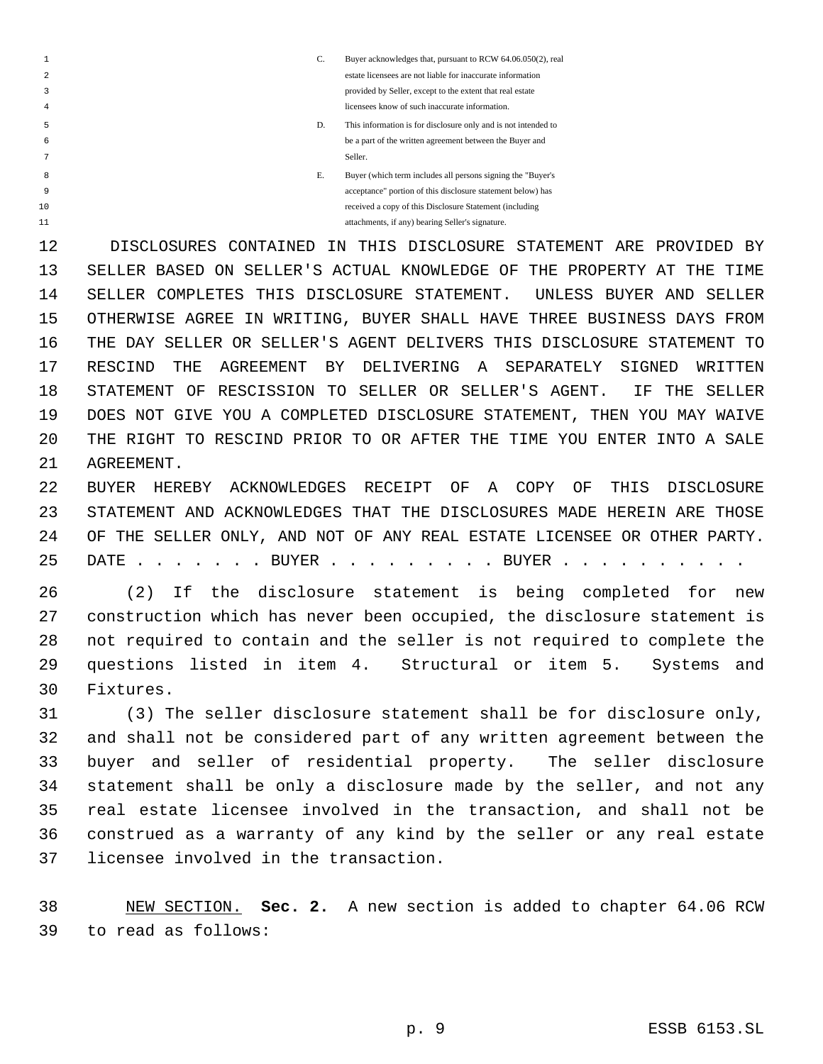C. Buyer acknowledges that, pursuant to RCW 64.06.050(2), real estate licensees are not liable for inaccurate information provided by Seller, except to the extent that real estate licensees know of such inaccurate information. D. This information is for disclosure only and is not intended to be a part of the written agreement between the Buyer and Seller. E. Buyer (which term includes all persons signing the "Buyer's acceptance" portion of this disclosure statement below) has received a copy of this Disclosure Statement (including attachments, if any) bearing Seller's signature.

12 DISCLOSURES CONTAINED IN THIS DISCLOSURE STATEMENT ARE PROVIDED BY SELLER BASED ON SELLER'S ACTUAL KNOWLEDGE OF THE PROPERTY AT THE TIME SELLER COMPLETES THIS DISCLOSURE STATEMENT. UNLESS BUYER AND SELLER OTHERWISE AGREE IN WRITING, BUYER SHALL HAVE THREE BUSINESS DAYS FROM THE DAY SELLER OR SELLER'S AGENT DELIVERS THIS DISCLOSURE STATEMENT TO RESCIND THE AGREEMENT BY DELIVERING A SEPARATELY SIGNED WRITTEN STATEMENT OF RESCISSION TO SELLER OR SELLER'S AGENT. IF THE SELLER DOES NOT GIVE YOU A COMPLETED DISCLOSURE STATEMENT, THEN YOU MAY WAIVE THE RIGHT TO RESCIND PRIOR TO OR AFTER THE TIME YOU ENTER INTO A SALE AGREEMENT.

 BUYER HEREBY ACKNOWLEDGES RECEIPT OF A COPY OF THIS DISCLOSURE STATEMENT AND ACKNOWLEDGES THAT THE DISCLOSURES MADE HEREIN ARE THOSE OF THE SELLER ONLY, AND NOT OF ANY REAL ESTATE LICENSEE OR OTHER PARTY. DATE . . . . . . . BUYER . . . . . . . . . BUYER . . . . . . . . . .

 (2) If the disclosure statement is being completed for new construction which has never been occupied, the disclosure statement is not required to contain and the seller is not required to complete the questions listed in item 4. Structural or item 5. Systems and Fixtures.

 (3) The seller disclosure statement shall be for disclosure only, and shall not be considered part of any written agreement between the buyer and seller of residential property. The seller disclosure statement shall be only a disclosure made by the seller, and not any real estate licensee involved in the transaction, and shall not be construed as a warranty of any kind by the seller or any real estate licensee involved in the transaction.

 NEW SECTION. **Sec. 2.** A new section is added to chapter 64.06 RCW to read as follows: